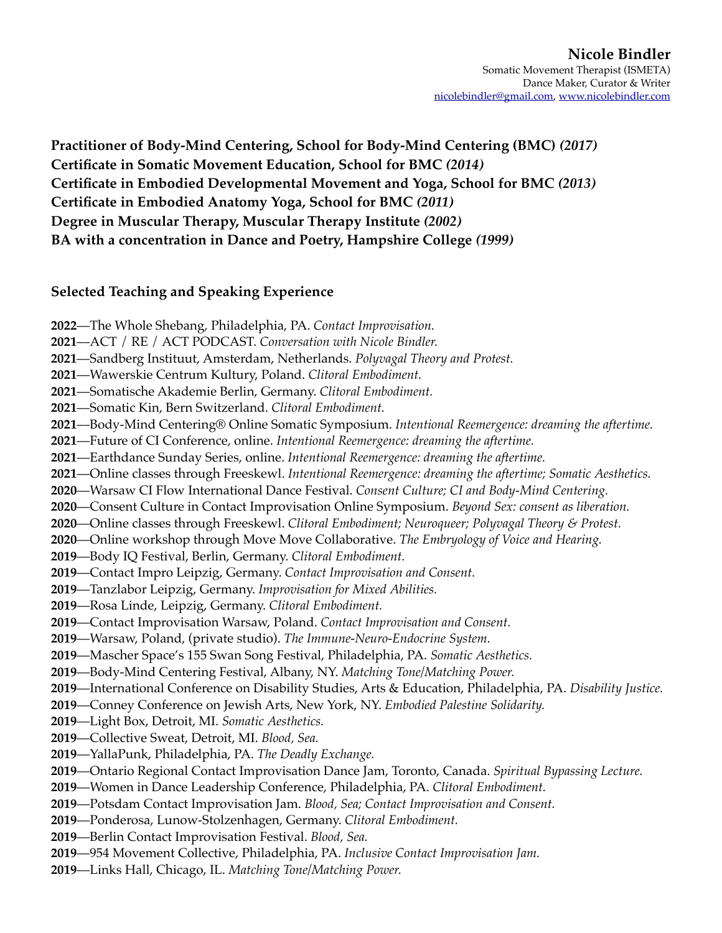**Practitioner of Body-Mind Centering, School for Body-Mind Centering (BMC)** *(2017)* **Certificate in Somatic Movement Education, School for BMC** *(2014)*  **Certificate in Embodied Developmental Movement and Yoga, School for BMC** *(2013)*  **Certificate in Embodied Anatomy Yoga, School for BMC** *(2011)*  **Degree in Muscular Therapy, Muscular Therapy Institute** *(2002)*  **BA with a concentration in Dance and Poetry, Hampshire College** *(1999)*

# **Selected Teaching and Speaking Experience**

––The Whole Shebang, Philadelphia, PA. *Contact Improvisation.* ––ACT / RE / ACT PODCAST. *Conversation with Nicole Bindler.* ––Sandberg Instituut, Amsterdam, Netherlands. *Polyvagal Theory and Protest.* ––Wawerskie Centrum Kultury, Poland. *Clitoral Embodiment.* ––Somatische Akademie Berlin, Germany. *Clitoral Embodiment.* ––Somatic Kin, Bern Switzerland. *Clitoral Embodiment.* ––Body-Mind Centering® Online Somatic Symposium. *Intentional Reemergence: dreaming the aftertime.* ––Future of CI Conference, online. *Intentional Reemergence: dreaming the aftertime.* ––Earthdance Sunday Series, online. *Intentional Reemergence: dreaming the aftertime.* ––Online classes through Freeskewl. *Intentional Reemergence: dreaming the aftertime; Somatic Aesthetics.* ––Warsaw CI Flow International Dance Festival. *Consent Culture; CI and Body-Mind Centering.* ––Consent Culture in Contact Improvisation Online Symposium. *Beyond Sex: consent as liberation.* ––Online classes through Freeskewl. *Clitoral Embodiment; Neuroqueer; Polyvagal Theory & Protest.* ––Online workshop through Move Move Collaborative. *The Embryology of Voice and Hearing.* ––Body IQ Festival, Berlin, Germany. *Clitoral Embodiment.*  ––Contact Impro Leipzig, Germany. *Contact Improvisation and Consent.* ––Tanzlabor Leipzig, Germany. *Improvisation for Mixed Abilities.* ––Rosa Linde, Leipzig, Germany. *Clitoral Embodiment.* ––Contact Improvisation Warsaw, Poland. *Contact Improvisation and Consent.* ––Warsaw, Poland, (private studio). *The Immune-Neuro-Endocrine System.*  ––Mascher Space's 155 Swan Song Festival, Philadelphia, PA. *Somatic Aesthetics.* ––Body-Mind Centering Festival, Albany, NY. *Matching Tone/Matching Power.* ––International Conference on Disability Studies, Arts & Education, Philadelphia, PA. *Disability Justice.* ––Conney Conference on Jewish Arts, New York, NY. *Embodied Palestine Solidarity.* ––Light Box, Detroit, MI. *Somatic Aesthetics.* ––Collective Sweat, Detroit, MI. *Blood, Sea.* ––YallaPunk, Philadelphia, PA. *The Deadly Exchange.* ––Ontario Regional Contact Improvisation Dance Jam, Toronto, Canada. *Spiritual Bypassing Lecture.* ––Women in Dance Leadership Conference, Philadelphia, PA. *Clitoral Embodiment.* ––Potsdam Contact Improvisation Jam. *Blood, Sea; Contact Improvisation and Consent.* ––Ponderosa, Lunow-Stolzenhagen, Germany. *Clitoral Embodiment.* ––Berlin Contact Improvisation Festival. *Blood, Sea.* ––954 Movement Collective, Philadelphia, PA. *Inclusive Contact Improvisation Jam.* ––Links Hall, Chicago, IL. *Matching Tone/Matching Power.*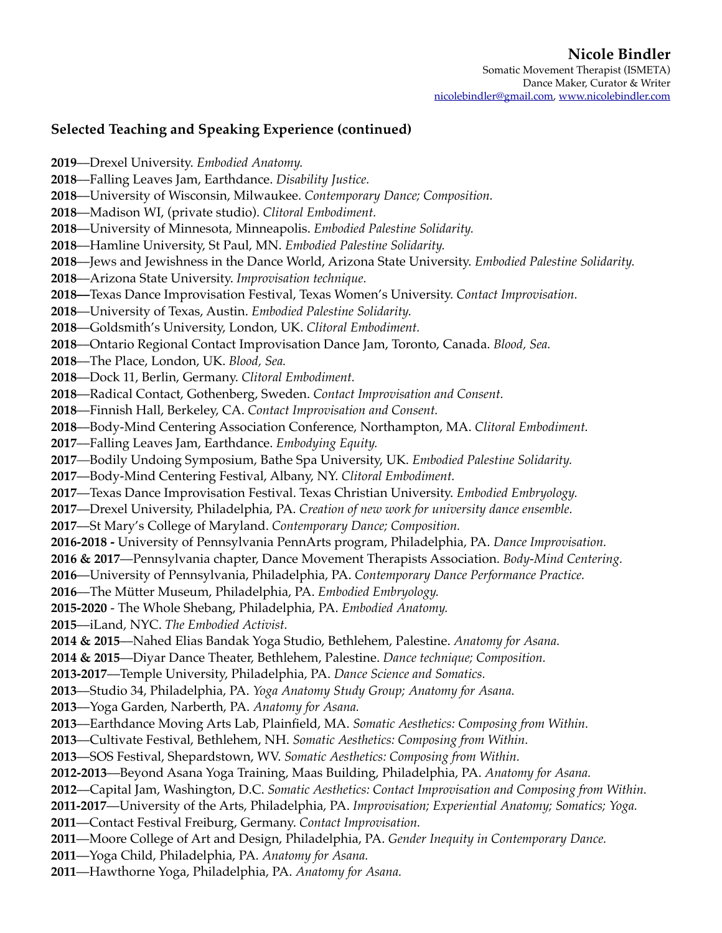# **Nicole Bindler**

Somatic Movement Therapist (ISMETA) Dance Maker, Curator & Writer [nicolebindler@gmail.com](mailto:nicolebindler@gmail.com), [www.nicolebindler.com](http://www.nicolebindler.com)

## **Selected Teaching and Speaking Experience (continued)**

––Drexel University. *Embodied Anatomy.* ––Falling Leaves Jam, Earthdance. *Disability Justice.* ––University of Wisconsin, Milwaukee. *Contemporary Dance; Composition.* ––Madison WI, (private studio). *Clitoral Embodiment.* ––University of Minnesota, Minneapolis. *Embodied Palestine Solidarity.* ––Hamline University, St Paul, MN. *Embodied Palestine Solidarity.* ––Jews and Jewishness in the Dance World, Arizona State University. *Embodied Palestine Solidarity.* ––Arizona State University. *Improvisation technique.* **2018––**Texas Dance Improvisation Festival, Texas Women's University. *Contact Improvisation.* ––University of Texas, Austin. *Embodied Palestine Solidarity.* ––Goldsmith's University, London, UK. *Clitoral Embodiment.* ––Ontario Regional Contact Improvisation Dance Jam, Toronto, Canada. *Blood, Sea.* ––The Place, London, UK. *Blood, Sea.* ––Dock 11, Berlin, Germany. *Clitoral Embodiment.* ––Radical Contact, Gothenberg, Sweden. *Contact Improvisation and Consent.* ––Finnish Hall, Berkeley, CA. *Contact Improvisation and Consent.* ––Body-Mind Centering Association Conference, Northampton, MA. *Clitoral Embodiment.* ––Falling Leaves Jam, Earthdance. *Embodying Equity. ––*Bodily Undoing Symposium, Bathe Spa University, UK. *Embodied Palestine Solidarity.* ––Body-Mind Centering Festival, Albany, NY. *Clitoral Embodiment.* ––Texas Dance Improvisation Festival. Texas Christian University. *Embodied Embryology.* ––Drexel University, Philadelphia, PA. *Creation of new work for university dance ensemble.* ––St Mary's College of Maryland. *Contemporary Dance; Composition.* **2016-2018 -** University of Pennsylvania PennArts program, Philadelphia, PA. *Dance Improvisation.* **2016 & 2017**––Pennsylvania chapter, Dance Movement Therapists Association. *Body-Mind Centering.* ––University of Pennsylvania, Philadelphia, PA. *Contemporary Dance Performance Practice.* ––The Mütter Museum, Philadelphia, PA. *Embodied Embryology.* **2015-2020** - The Whole Shebang, Philadelphia, PA. *Embodied Anatomy.* ––iLand, NYC. *The Embodied Activist.* **2014 & 2015**––Nahed Elias Bandak Yoga Studio, Bethlehem, Palestine. *Anatomy for Asana.* **2014 & 2015**––Diyar Dance Theater, Bethlehem, Palestine. *Dance technique; Composition.* **2013-2017**––Temple University, Philadelphia, PA. *Dance Science and Somatics.* ––Studio 34, Philadelphia, PA. *Yoga Anatomy Study Group; Anatomy for Asana.* ––Yoga Garden, Narberth, PA. *Anatomy for Asana.* ––Earthdance Moving Arts Lab, Plainfield, MA. *Somatic Aesthetics: Composing from Within.* ––Cultivate Festival, Bethlehem, NH. *Somatic Aesthetics: Composing from Within.* ––SOS Festival, Shepardstown, WV. *Somatic Aesthetics: Composing from Within.* **2012-2013**––Beyond Asana Yoga Training, Maas Building, Philadelphia, PA. *Anatomy for Asana.* ––Capital Jam, Washington, D.C. *Somatic Aesthetics: Contact Improvisation and Composing from Within.* **2011-2017**––University of the Arts, Philadelphia, PA. *Improvisation; Experiential Anatomy; Somatics; Yoga.* ––Contact Festival Freiburg, Germany. *Contact Improvisation.* ––Moore College of Art and Design, Philadelphia, PA. *Gender Inequity in Contemporary Dance.* ––Yoga Child, Philadelphia, PA. *Anatomy for Asana.* ––Hawthorne Yoga, Philadelphia, PA. *Anatomy for Asana.*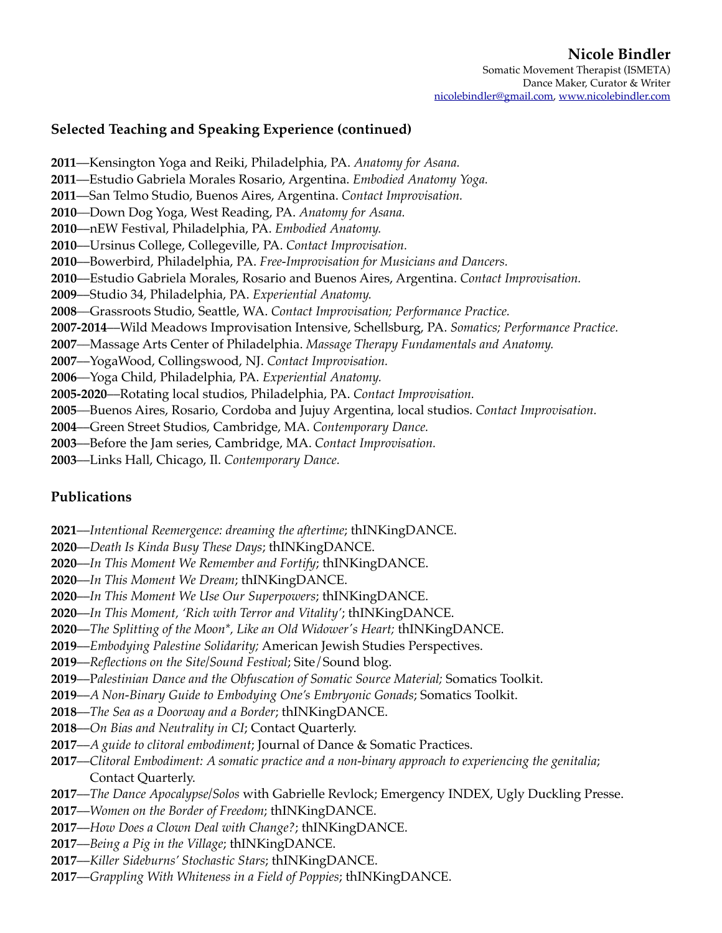# **Nicole Bindler**

Somatic Movement Therapist (ISMETA) Dance Maker, Curator & Writer [nicolebindler@gmail.com](mailto:nicolebindler@gmail.com), [www.nicolebindler.com](http://www.nicolebindler.com)

## **Selected Teaching and Speaking Experience (continued)**

––Kensington Yoga and Reiki, Philadelphia, PA. *Anatomy for Asana.* ––Estudio Gabriela Morales Rosario, Argentina. *Embodied Anatomy Yoga.* ––San Telmo Studio, Buenos Aires, Argentina. *Contact Improvisation. ––*Down Dog Yoga, West Reading, PA. *Anatomy for Asana.* ––nEW Festival, Philadelphia, PA. *Embodied Anatomy.* ––Ursinus College, Collegeville, PA. *Contact Improvisation.* ––Bowerbird, Philadelphia, PA. *Free-Improvisation for Musicians and Dancers.*  ––Estudio Gabriela Morales, Rosario and Buenos Aires, Argentina. *Contact Improvisation.* ––Studio 34, Philadelphia, PA. *Experiential Anatomy. ––*Grassroots Studio, Seattle, WA. *Contact Improvisation; Performance Practice.* **2007-2014**––Wild Meadows Improvisation Intensive, Schellsburg, PA. *Somatics; Performance Practice. ––*Massage Arts Center of Philadelphia. *Massage Therapy Fundamentals and Anatomy.* ––YogaWood, Collingswood, NJ. *Contact Improvisation. ––*Yoga Child, Philadelphia, PA. *Experiential Anatomy.* **2005-2020**––Rotating local studios, Philadelphia, PA. *Contact Improvisation. ––*Buenos Aires, Rosario, Cordoba and Jujuy Argentina, local studios. *Contact Improvisation.* ––Green Street Studios, Cambridge, MA. *Contemporary Dance.*

- ––Before the Jam series, Cambridge, MA. *Contact Improvisation.*
- ––Links Hall, Chicago, Il. *Contemporary Dance.*

### **Publications**

- ––*Intentional Reemergence: dreaming the aftertime*; thINKingDANCE.
- ––*Death Is Kinda Busy These Days*; thINKingDANCE.
- ––*In This Moment We Remember and Fortify*; thINKingDANCE.
- ––*In This Moment We Dream*; thINKingDANCE.
- ––*In This Moment We Use Our Superpowers*; thINKingDANCE.
- ––*In This Moment, 'Rich with Terror and Vitality'*; thINKingDANCE.
- ––*The Splitting of the Moon\*, Like an Old Widower's Heart;* thINKingDANCE.
- ––*Embodying Palestine Solidarity;* American Jewish Studies Perspectives.
- ––*Reflections on the Site/Sound Festival*; Site/Sound blog.
- ––P*alestinian Dance and the Obfuscation of Somatic Source Material;* Somatics Toolkit.
- ––*A Non-Binary Guide to Embodying One's Embryonic Gonads*; Somatics Toolkit.
- ––*The Sea as a Doorway and a Border*; thINKingDANCE.
- ––*On Bias and Neutrality in CI*; Contact Quarterly.
- ––*A guide to clitoral embodiment*; Journal of Dance & Somatic Practices.
- ––*Clitoral Embodiment: A somatic practice and a non-binary approach to experiencing the genitalia*; Contact Quarterly.
- ––*The Dance Apocalypse/Solos* with Gabrielle Revlock; Emergency INDEX, Ugly Duckling Presse.
- ––*Women on the Border of Freedom*; thINKingDANCE.
- ––*How Does a Clown Deal with Change?*; thINKingDANCE.
- ––*Being a Pig in the Village*; thINKingDANCE.
- ––*Killer Sideburns' Stochastic Stars*; thINKingDANCE.
- ––*Grappling With Whiteness in a Field of Poppies*; thINKingDANCE.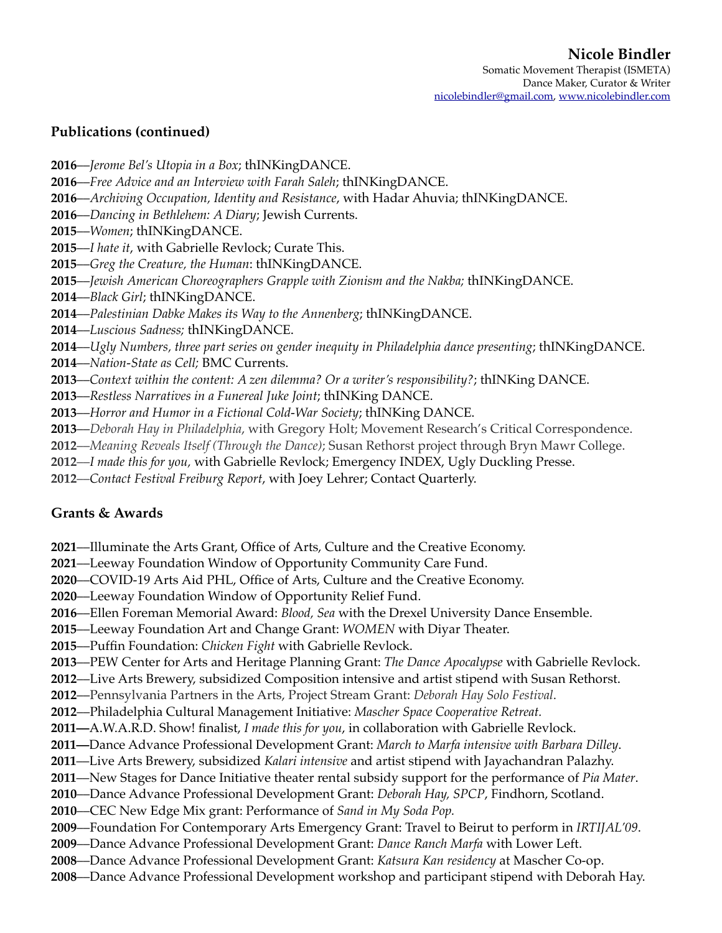### **Publications (continued)**

- ––*Jerome Bel's Utopia in a Box*; thINKingDANCE.
- ––*Free Advice and an Interview with Farah Saleh*; thINKingDANCE.
- ––*Archiving Occupation, Identity and Resistance*, with Hadar Ahuvia; thINKingDANCE.
- ––*Dancing in Bethlehem: A Diary*; Jewish Currents.
- ––*Women*; thINKingDANCE.
- ––*I hate it*, with Gabrielle Revlock; Curate This.
- ––*Greg the Creature, the Human*: thINKingDANCE.
- ––*Jewish American Choreographers Grapple with Zionism and the Nakba;* thINKingDANCE.
- ––*Black Girl*; thINKingDANCE.
- ––*Palestinian Dabke Makes its Way to the Annenberg*; thINKingDANCE.
- ––*Luscious Sadness;* thINKingDANCE.
- ––*Ugly Numbers, three part series on gender inequity in Philadelphia dance presenting*; thINKingDANCE.
- ––*Nation-State as Cell;* BMC Currents.
- ––*Context within the content: A zen dilemma? Or a writer's responsibility?*; thINKing DANCE.
- ––*Restless Narratives in a Funereal Juke Joint*; thINKing DANCE.
- ––*Horror and Humor in a Fictional Cold-War Society*; thINKing DANCE.
- ––*Deborah Hay in Philadelphia*, with Gregory Holt; Movement Research's Critical Correspondence.
- ––*Meaning Reveals Itself (Through the Dance)*; Susan Rethorst project through Bryn Mawr College.
- ––*I made this for you,* with Gabrielle Revlock; Emergency INDEX, Ugly Duckling Presse.
- ––*Contact Festival Freiburg Report*, with Joey Lehrer; Contact Quarterly.

# **Grants & Awards**

- ––Illuminate the Arts Grant, Office of Arts, Culture and the Creative Economy.
- ––Leeway Foundation Window of Opportunity Community Care Fund.
- ––COVID-19 Arts Aid PHL, Office of Arts, Culture and the Creative Economy.
- ––Leeway Foundation Window of Opportunity Relief Fund.
- ––Ellen Foreman Memorial Award: *Blood, Sea* with the Drexel University Dance Ensemble.
- ––Leeway Foundation Art and Change Grant: *WOMEN* with Diyar Theater.
- ––Puffin Foundation: *Chicken Fight* with Gabrielle Revlock.
- ––PEW Center for Arts and Heritage Planning Grant: *The Dance Apocalypse* with Gabrielle Revlock.
- ––Live Arts Brewery, subsidized Composition intensive and artist stipend with Susan Rethorst.
- ––Pennsylvania Partners in the Arts, Project Stream Grant: *Deborah Hay Solo Festival*.
- ––Philadelphia Cultural Management Initiative: *Mascher Space Cooperative Retreat.*
- **2011––**A.W.A.R.D. Show! finalist, *I made this for you*, in collaboration with Gabrielle Revlock.
- **2011––**Dance Advance Professional Development Grant: *March to Marfa intensive with Barbara Dilley*.
- ––Live Arts Brewery, subsidized *Kalari intensive* and artist stipend with Jayachandran Palazhy.
- ––New Stages for Dance Initiative theater rental subsidy support for the performance of *Pia Mater*.
- ––Dance Advance Professional Development Grant: *Deborah Hay, SPCP*, Findhorn, Scotland.
- ––CEC New Edge Mix grant: Performance of *Sand in My Soda Pop.*
- ––Foundation For Contemporary Arts Emergency Grant: Travel to Beirut to perform in *IRTIJAL'09*.
- ––Dance Advance Professional Development Grant: *Dance Ranch Marfa* with Lower Left.
- ––Dance Advance Professional Development Grant: *Katsura Kan residency* at Mascher Co-op.
- ––Dance Advance Professional Development workshop and participant stipend with Deborah Hay.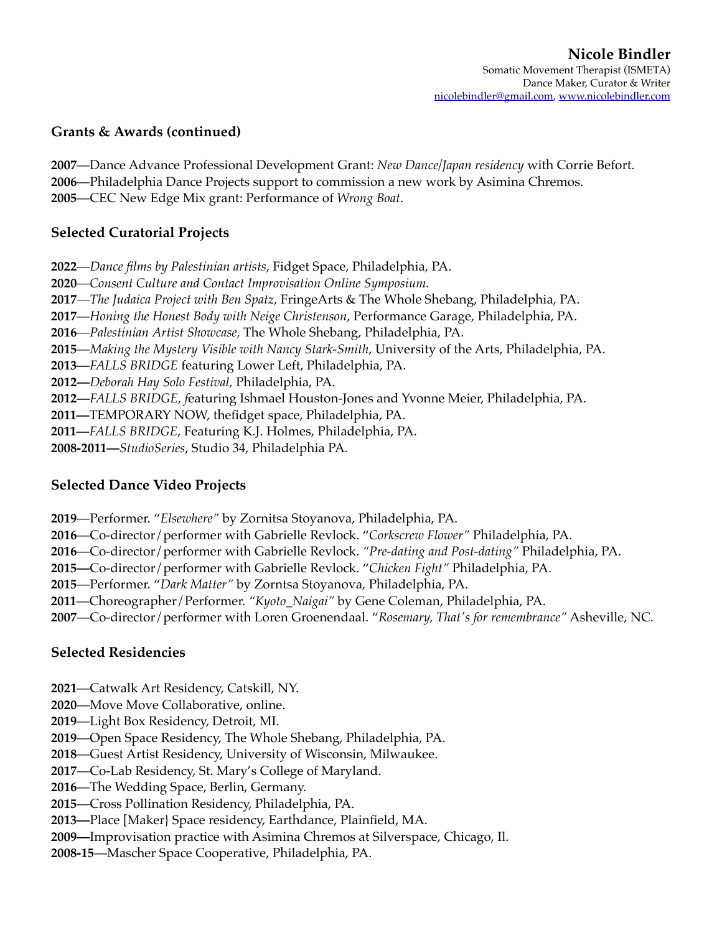### **Grants & Awards (continued)**

**2007**––Dance Advance Professional Development Grant: *New Dance/Japan residency* with Corrie Befort. **2006**––Philadelphia Dance Projects support to commission a new work by Asimina Chremos. **2005**––CEC New Edge Mix grant: Performance of *Wrong Boat*.

## **Selected Curatorial Projects**

**2022**––*Dance films by Palestinian artists*, Fidget Space, Philadelphia, PA.

**2020***––Consent Culture and Contact Improvisation Online Symposium.*

**2017***––The Judaica Project with Ben Spatz,* FringeArts & The Whole Shebang, Philadelphia, PA.

**2017**––*Honing the Honest Body with Neige Christenson*, Performance Garage, Philadelphia, PA.

**2016***––Palestinian Artist Showcase,* The Whole Shebang, Philadelphia, PA.

**2015**––*Making the Mystery Visible with Nancy Stark-Smith*, University of the Arts, Philadelphia, PA.

**2013––***FALLS BRIDGE* featuring Lower Left, Philadelphia, PA.

**2012––***Deborah Hay Solo Festival,* Philadelphia, PA.

**2012––***FALLS BRIDGE, f*eaturing Ishmael Houston-Jones and Yvonne Meier, Philadelphia, PA.

**2011––**TEMPORARY NOW, thefidget space, Philadelphia, PA.

**2011––***FALLS BRIDGE*, Featuring K.J. Holmes, Philadelphia, PA.

**2008-2011––***StudioSeries*, Studio 34, Philadelphia PA*.*

### **Selected Dance Video Projects**

- **2019**––Performer. "*Elsewhere"* by Zornitsa Stoyanova, Philadelphia, PA.
- **2016**––Co-director/performer with Gabrielle Revlock. "*Corkscrew Flower"* Philadelphia, PA.
- **2016**––Co-director/performer with Gabrielle Revlock. *"Pre-dating and Post-dating"* Philadelphia, PA.

**2015––**Co-director/performer with Gabrielle Revlock. "*Chicken Fight"* Philadelphia, PA.

**2015**––Performer. "*Dark Matter"* by Zorntsa Stoyanova, Philadelphia, PA.

**2011**––Choreographer/Performer. *"Kyoto\_Naigai"* by Gene Coleman, Philadelphia, PA.

**2007**––Co-director/performer with Loren Groenendaal. "*Rosemary, That's for remembrance"* Asheville, NC.

### **Selected Residencies**

- **2021**––Catwalk Art Residency, Catskill, NY.
- **2020**––Move Move Collaborative, online.
- **2019**––Light Box Residency, Detroit, MI.
- **2019**––Open Space Residency, The Whole Shebang, Philadelphia, PA.

**2018**––Guest Artist Residency, University of Wisconsin, Milwaukee.

**2017**––Co-Lab Residency, St. Mary's College of Maryland.

**2016**––The Wedding Space, Berlin, Germany.

**2015**––Cross Pollination Residency, Philadelphia, PA.

**2013––**Place [Maker} Space residency, Earthdance, Plainfield, MA.

**2009––**Improvisation practice with Asimina Chremos at Silverspace, Chicago, Il.

**2008-15**––Mascher Space Cooperative, Philadelphia, PA.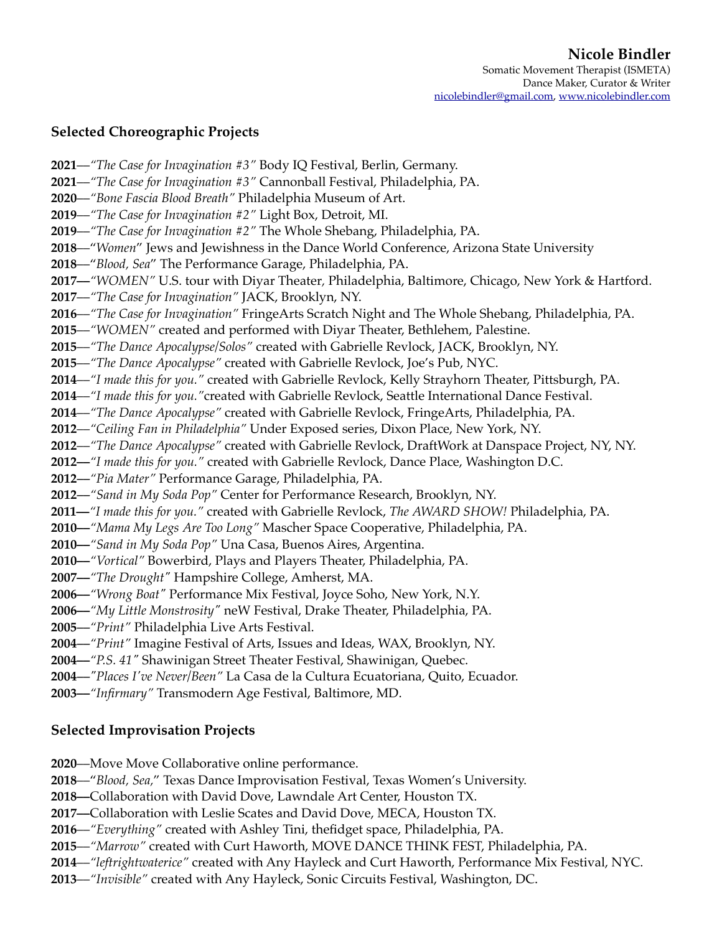## **Selected Choreographic Projects**

––*"The Case for Invagination #3"* Body IQ Festival, Berlin, Germany. ––*"The Case for Invagination #3"* Cannonball Festival, Philadelphia, PA. ––*"Bone Fascia Blood Breath"* Philadelphia Museum of Art. ––*"The Case for Invagination #2"* Light Box, Detroit, MI. ––*"The Case for Invagination #2"* The Whole Shebang, Philadelphia, PA. ––"*Women*" Jews and Jewishness in the Dance World Conference, Arizona State University ––"*Blood, Sea*" The Performance Garage, Philadelphia, PA. **2017––***"WOMEN"* U.S. tour with Diyar Theater*,* Philadelphia, Baltimore, Chicago, New York & Hartford. ––*"The Case for Invagination"* JACK, Brooklyn, NY. ––*"The Case for Invagination"* FringeArts Scratch Night and The Whole Shebang, Philadelphia, PA. ––*"WOMEN"* created and performed with Diyar Theater, Bethlehem, Palestine. ––*"The Dance Apocalypse/Solos"* created with Gabrielle Revlock, JACK, Brooklyn, NY. ––*"The Dance Apocalypse"* created with Gabrielle Revlock, Joe's Pub, NYC. ––*"I made this for you."* created with Gabrielle Revlock, Kelly Strayhorn Theater, Pittsburgh, PA. ––*"I made this for you."*created with Gabrielle Revlock, Seattle International Dance Festival. ––*"The Dance Apocalypse"* created with Gabrielle Revlock, FringeArts, Philadelphia, PA. ––*"Ceiling Fan in Philadelphia"* Under Exposed series, Dixon Place, New York, NY. ––*"The Dance Apocalypse"* created with Gabrielle Revlock, DraftWork at Danspace Project, NY, NY. **2012––***"I made this for you."* created with Gabrielle Revlock, Dance Place, Washington D.C. *––"Pia Mater"* Performance Garage, Philadelphia, PA. *––"Sand in My Soda Pop"* Center for Performance Research, Brooklyn, NY. **2011––***"I made this for you."* created with Gabrielle Revlock, *The AWARD SHOW!* Philadelphia, PA. **2010––***"Mama My Legs Are Too Long"* Mascher Space Cooperative, Philadelphia, PA. **2010––***"Sand in My Soda Pop"* Una Casa, Buenos Aires, Argentina. **2010––***"Vortical"* Bowerbird, Plays and Players Theater, Philadelphia, PA. **2007––***"The Drought"* Hampshire College, Amherst, MA. **2006––***"Wrong Boat"* Performance Mix Festival, Joyce Soho, New York, N.Y. **2006––***"My Little Monstrosity"* neW Festival, Drake Theater, Philadelphia, PA. *––"Print"* Philadelphia Live Arts Festival. *––"Print"* Imagine Festival of Arts, Issues and Ideas, WAX, Brooklyn, NY. **2004––***"P.S. 41"* Shawinigan Street Theater Festival, Shawinigan, Quebec. *––"Places I've Never/Been"* La Casa de la Cultura Ecuatoriana, Quito, Ecuador. **2003––***"Infirmary"* Transmodern Age Festival, Baltimore, MD.

# **Selected Improvisation Projects**

**2020**––Move Move Collaborative online performance.

**2018**––"*Blood, Sea,*" Texas Dance Improvisation Festival, Texas Women's University.

**2018––**Collaboration with David Dove, Lawndale Art Center, Houston TX.

**2017––**Collaboration with Leslie Scates and David Dove, MECA, Houston TX.

**2016**––*"Everything"* created with Ashley Tini, thefidget space, Philadelphia, PA.

**2015**––*"Marrow"* created with Curt Haworth, MOVE DANCE THINK FEST, Philadelphia, PA.

**2014**––*"leftrightwaterice"* created with Any Hayleck and Curt Haworth, Performance Mix Festival, NYC.

**2013**––*"Invisible"* created with Any Hayleck, Sonic Circuits Festival, Washington, DC.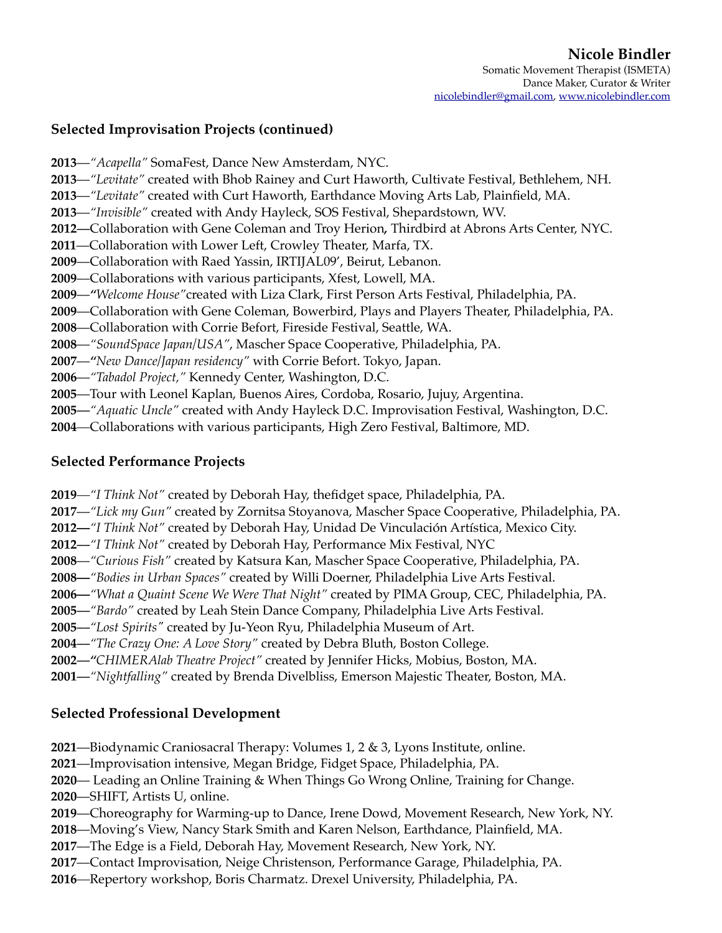## **Selected Improvisation Projects (continued)**

––*"Acapella"* SomaFest, Dance New Amsterdam, NYC. ––*"Levitate"* created with Bhob Rainey and Curt Haworth, Cultivate Festival, Bethlehem, NH. ––*"Levitate"* created with Curt Haworth, Earthdance Moving Arts Lab, Plainfield, MA. ––*"Invisible"* created with Andy Hayleck, SOS Festival, Shepardstown, WV. *––*Collaboration with Gene Coleman and Troy Herion*,* Thirdbird at Abrons Arts Center, NYC. ––Collaboration with Lower Left, Crowley Theater, Marfa, TX. ––Collaboration with Raed Yassin, IRTIJAL09', Beirut, Lebanon. ––Collaborations with various participants, Xfest, Lowell, MA. ––*"Welcome House"*created with Liza Clark, First Person Arts Festival, Philadelphia, PA. ––Collaboration with Gene Coleman, Bowerbird, Plays and Players Theater, Philadelphia, PA. ––Collaboration with Corrie Befort, Fireside Festival, Seattle, WA. ––*"SoundSpace Japan/USA"*, Mascher Space Cooperative, Philadelphia, PA. ––*"New Dance/Japan residency"* with Corrie Befort. Tokyo, Japan. ––*"Tabadol Project,"* Kennedy Center, Washington, D.C. ––Tour with Leonel Kaplan, Buenos Aires, Cordoba, Rosario, Jujuy, Argentina. *––"Aquatic Uncle"* created with Andy Hayleck D.C. Improvisation Festival, Washington, D.C.

*––*Collaborations with various participants, High Zero Festival, Baltimore, MD.

## **Selected Performance Projects**

*––"I Think Not"* created by Deborah Hay, thefidget space, Philadelphia, PA.

––*"Lick my Gun"* created by Zornitsa Stoyanova, Mascher Space Cooperative, Philadelphia, PA.

**2012––***"I Think Not"* created by Deborah Hay, Unidad De Vinculación Artística, Mexico City.

*––"I Think Not"* created by Deborah Hay, Performance Mix Festival, NYC

––*"Curious Fish"* created by Katsura Kan, Mascher Space Cooperative, Philadelphia, PA.

**2008––***"Bodies in Urban Spaces"* created by Willi Doerner, Philadelphia Live Arts Festival.

**2006––***"What a Quaint Scene We Were That Night"* created by PIMA Group, CEC, Philadelphia, PA.

*––"Bardo"* created by Leah Stein Dance Company, Philadelphia Live Arts Festival.

*––"Lost Spirits"* created by Ju-Yeon Ryu, Philadelphia Museum of Art.

*––"The Crazy One: A Love Story"* created by Debra Bluth, Boston College.

*––"CHIMERAlab Theatre Project"* created by Jennifer Hicks, Mobius, Boston, MA.

*––"Nightfalling"* created by Brenda Divelbliss, Emerson Majestic Theater, Boston, MA.

# **Selected Professional Development**

––Biodynamic Craniosacral Therapy: Volumes 1, 2 & 3, Lyons Institute, online.

––Improvisation intensive, Megan Bridge, Fidget Space, Philadelphia, PA.

–– Leading an Online Training & When Things Go Wrong Online, Training for Change.

––SHIFT, Artists U, online.

––Choreography for Warming-up to Dance, Irene Dowd, Movement Research, New York, NY.

––Moving's View, Nancy Stark Smith and Karen Nelson, Earthdance, Plainfield, MA.

- ––The Edge is a Field, Deborah Hay, Movement Research, New York, NY.
- ––Contact Improvisation, Neige Christenson, Performance Garage, Philadelphia, PA.
- *––*Repertory workshop, Boris Charmatz. Drexel University, Philadelphia, PA.